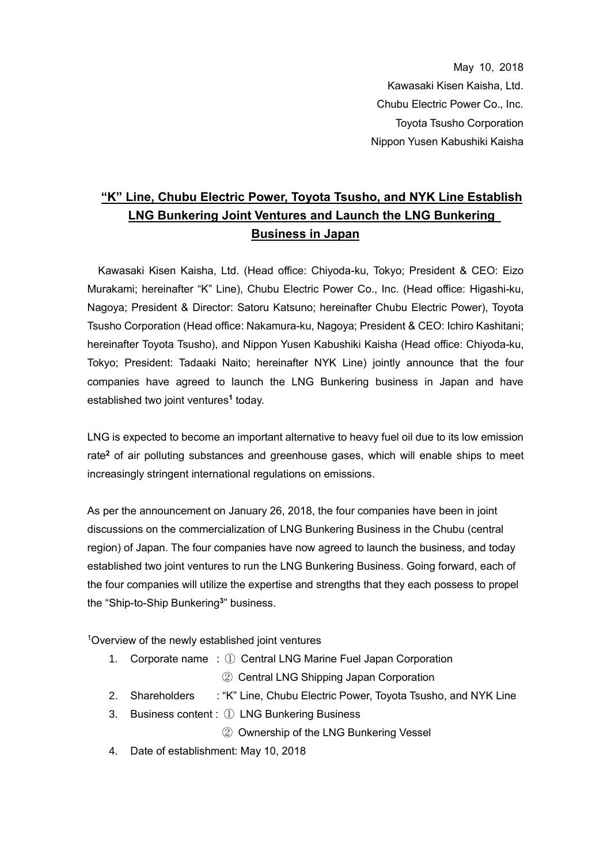May 10, 2018 Kawasaki Kisen Kaisha, Ltd. Chubu Electric Power Co., Inc. Toyota Tsusho Corporation Nippon Yusen Kabushiki Kaisha

## **"K" Line, Chubu Electric Power, Toyota Tsusho, and NYK Line Establish LNG Bunkering Joint Ventures and Launch the LNG Bunkering Business in Japan**

Kawasaki Kisen Kaisha, Ltd. (Head office: Chiyoda-ku, Tokyo; President & CEO: Eizo Murakami; hereinafter "K" Line), Chubu Electric Power Co., Inc. (Head office: Higashi-ku, Nagoya; President & Director: Satoru Katsuno; hereinafter Chubu Electric Power), Toyota Tsusho Corporation (Head office: Nakamura-ku, Nagoya; President & CEO: Ichiro Kashitani; hereinafter Toyota Tsusho), and Nippon Yusen Kabushiki Kaisha (Head office: Chiyoda-ku, Tokyo; President: Tadaaki Naito; hereinafter NYK Line) jointly announce that the four companies have agreed to launch the LNG Bunkering business in Japan and have established two joint ventures**<sup>1</sup>** today.

LNG is expected to become an important alternative to heavy fuel oil due to its low emission rate**<sup>2</sup>** of air polluting substances and greenhouse gases, which will enable ships to meet increasingly stringent international regulations on emissions.

As per the announcement on January 26, 2018, the four companies have been in joint discussions on the commercialization of LNG Bunkering Business in the Chubu (central region) of Japan. The four companies have now agreed to launch the business, and today established two joint ventures to run the LNG Bunkering Business. Going forward, each of the four companies will utilize the expertise and strengths that they each possess to propel the "Ship-to-Ship Bunkering**<sup>3</sup>** " business.

<sup>1</sup>Overview of the newly established joint ventures

- 1. Corporate name : ① Central LNG Marine Fuel Japan Corporation
	- ② Central LNG Shipping Japan Corporation
- 2. Shareholders : "K" Line, Chubu Electric Power, Toyota Tsusho, and NYK Line
- 3. Business content : ① LNG Bunkering Business
	- ② Ownership of the LNG Bunkering Vessel
- 4. Date of establishment: May 10, 2018